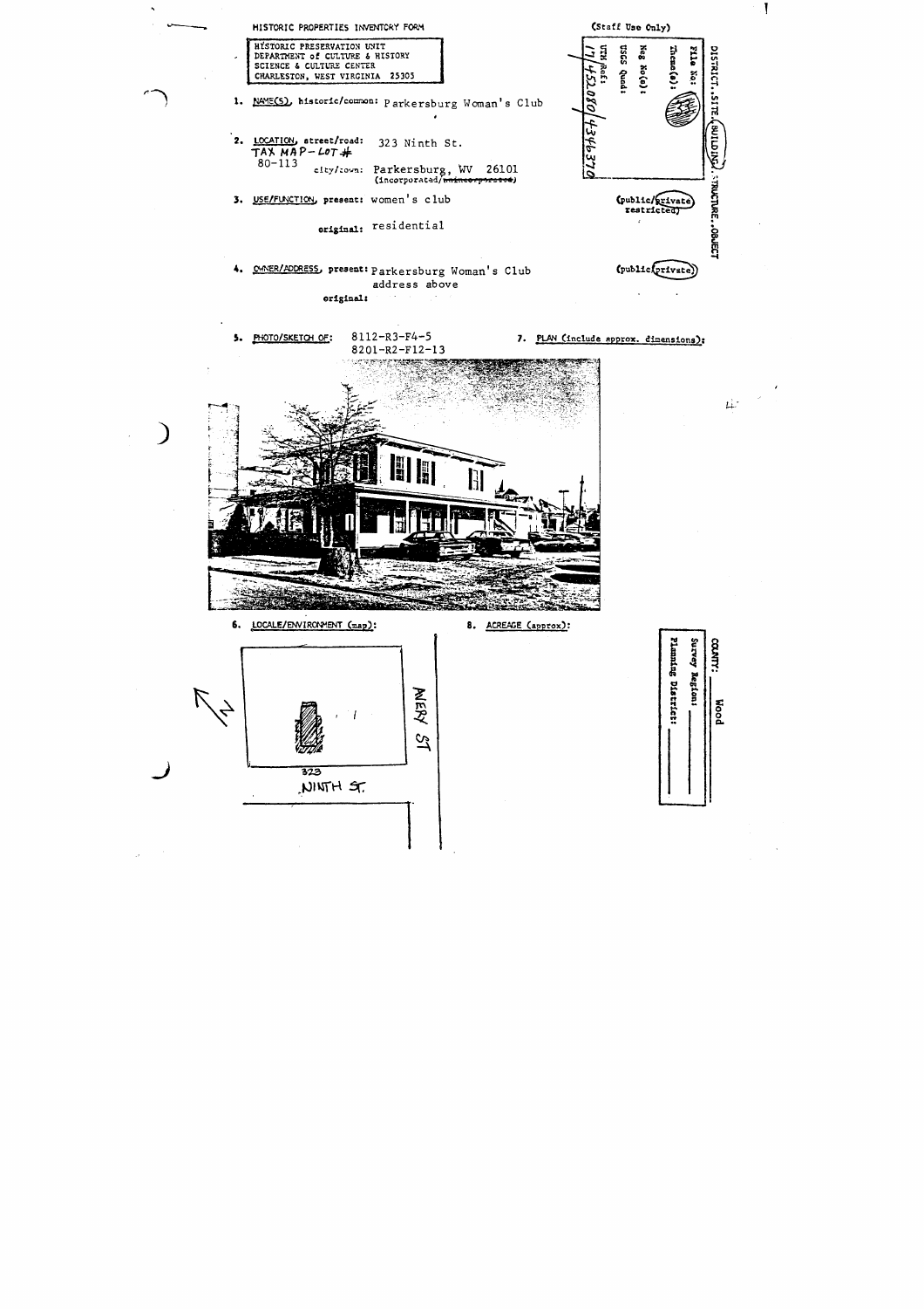

 $\mathbf{I}$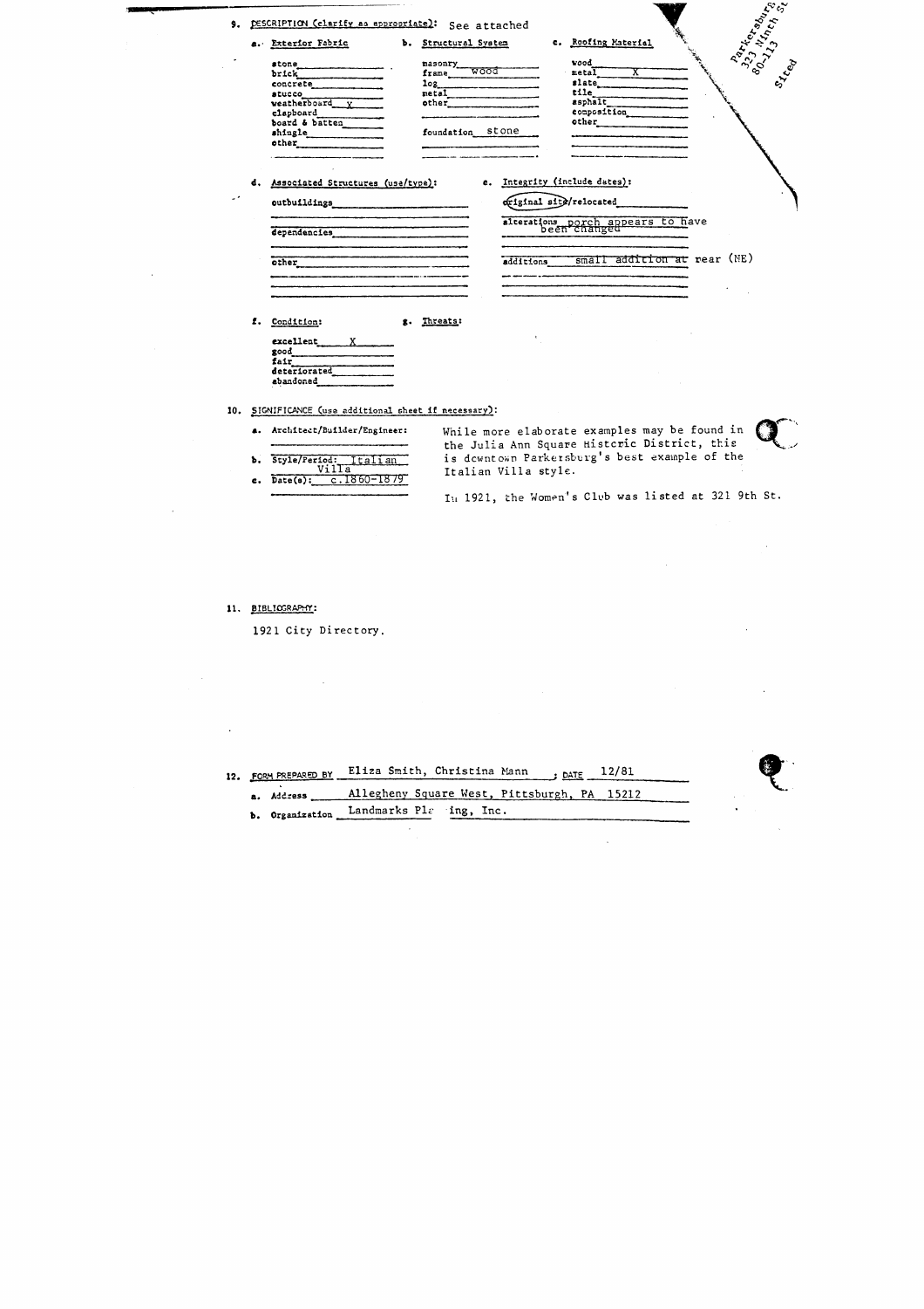|  | 9. DESCRIPTION Celerify as appropriate): See attached |  |  |
|--|-------------------------------------------------------|--|--|
|--|-------------------------------------------------------|--|--|

Y

| a. Exterior Fabric |  |
|--------------------|--|

stucco<br>weatherboard

clapboard board & batten

shingle other

stone brick<br>concrete

| Ъ. | Structural System          |
|----|----------------------------|
|    | masonry                    |
|    | wood<br>frame.             |
|    |                            |
|    | log___<br>metal_<br>other_ |
|    |                            |
|    |                            |
|    |                            |
|    |                            |

foundation stone

|  | c. Roofing Material |
|--|---------------------|
|  |                     |

| metal<br>slate         |  |
|------------------------|--|
| tile                   |  |
| asphalt<br>composition |  |
|                        |  |
| other                  |  |

d. Associated Structures (use/type):

| dependencies |  |  |
|--------------|--|--|
|              |  |  |
|              |  |  |
| other        |  |  |

|  | Integrity (include dates):                        |  |                               |  |  |
|--|---------------------------------------------------|--|-------------------------------|--|--|
|  | original site/relocated                           |  |                               |  |  |
|  | alterations porch appears to have<br>been changed |  |                               |  |  |
|  | additions                                         |  | . <del>l addicion at</del> ne |  |  |

f. Condition: g. Threats:

excellent good<br>fair deteriorated

10. SIGNIFICANCE (use additional sheet if necessary):

- 4. Architect/Builder/Engineer:
- b. Style/Period: <u>Italian</u> Villa
- c.  $\overline{Date(s)}: \overline{c.1860-1879}$

While more elaborate examples may be found in the Julia Ann Square Historic District, this is downtown Parkersburg's best example of the Italian Villa style.

In 1921, the Women's Club was listed at 321 9th St.

## 11. BIBLIOGRAPHY:

1921 City Directory.

|  | 12. FORM PREPARED BY Eliza Smith, Christina Mann ; DATE 12/81 |
|--|---------------------------------------------------------------|
|  | a. Address ______ Allegheny Square West, Pittsburgh, PA 15212 |
|  | <b>b.</b> Organization Landmarks Pla ing, Inc.                |



narketalles

rear (NE)

SILEED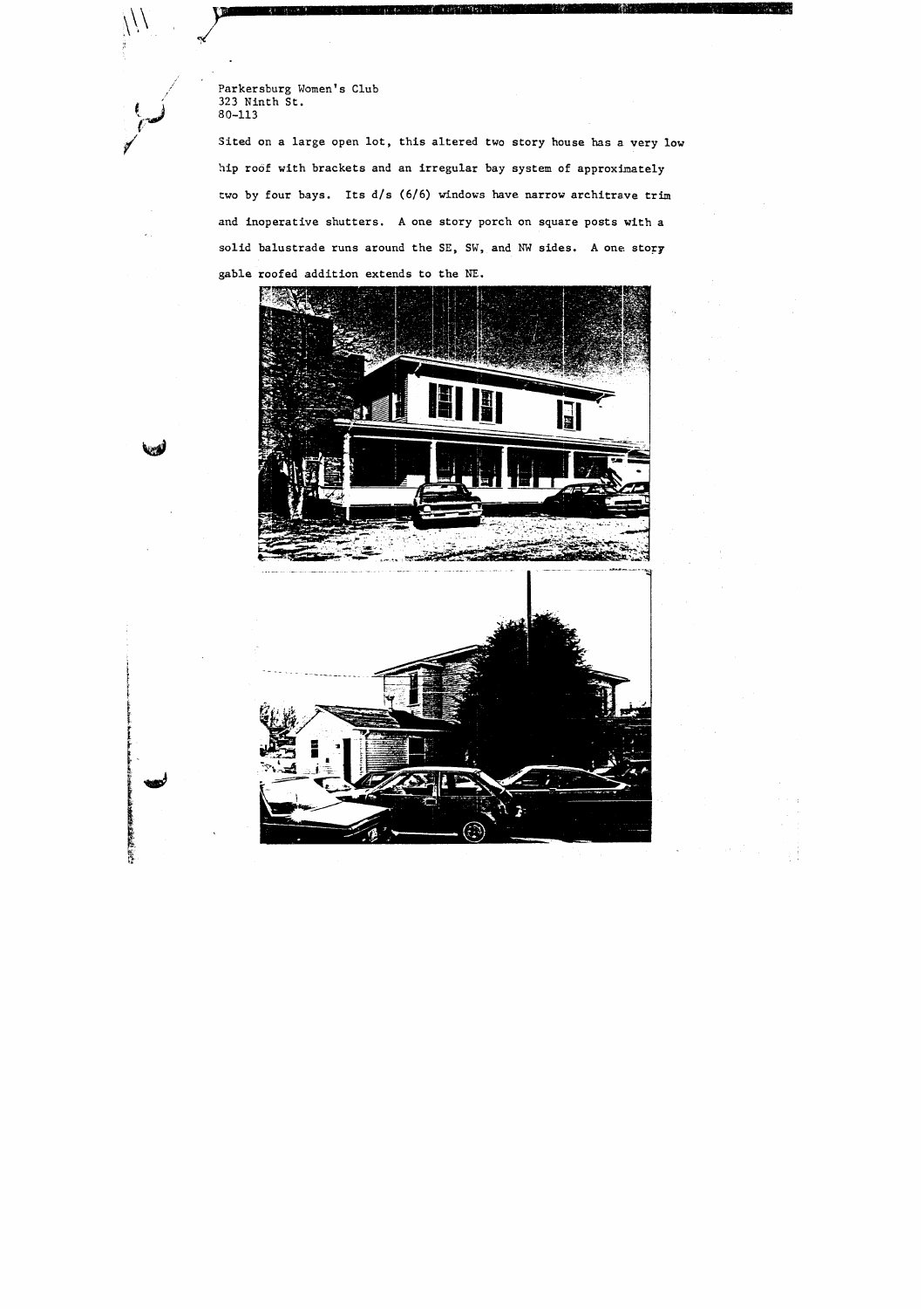$\sqrt{1 - \frac{1}{2}}$  Parkersburg Women's Club 323 Ninth St. 80-113

**VAI** 

**Richi** 

**J** Sited on a large open lot, this altered two story house **has** a very low hip roof with brackets and an irregular bay system of approximately two by four bays. Its d/s **(6/6)** windows have narrow architrave trim and inoperative shutters. **A** one story porch on square posts with a solid balustrade runs around the **SE,** SW, and **NW** sides. **A** one story **gable** roofed addition extends to the **NE.** 



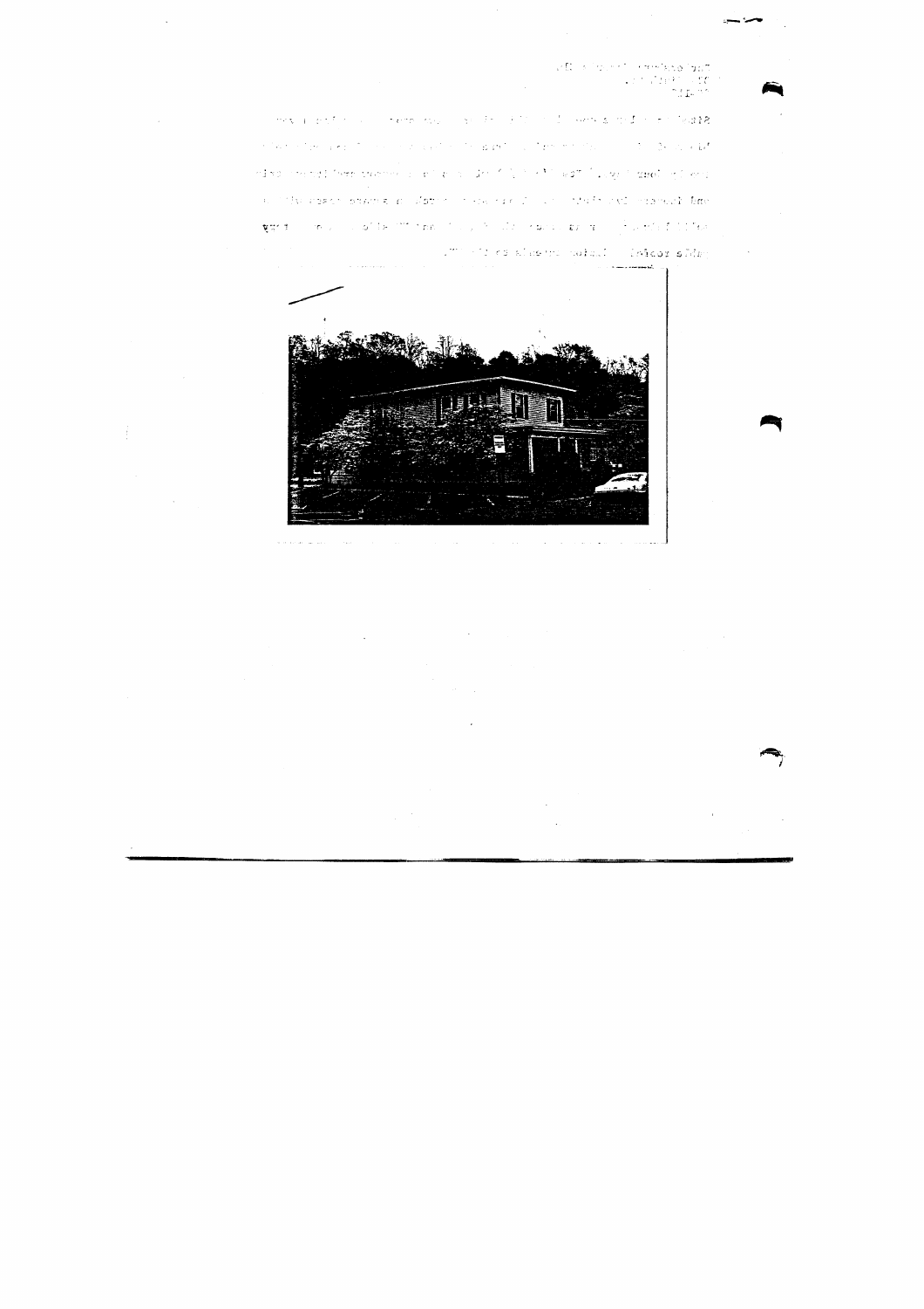Darlezkirin (Johan Jak)<br>31 - Hetistan<br>16 -110  $\sim 10^6$ . The strictly construction of the state of the state of the state  $\mathcal{E}$ in the star area for some and so to parely in terms of the control of the form index created femalitering country and with fill in the same level is such another feature su l'inverse province à l'article de la constantination de l'article de la companyation  $\mathbf{x}$  and the second set of  $\mathbf{x}$  and the second second  $\mathbf{x}$  and  $\mathbf{x}$  and  $\mathbf{x}$  and  $\mathbf{x}$ pahla reshuo listus una sita solo l'illo

 $\sim 100$ 



 $\sim$  100  $\mu$ 

 $\mathcal{L}_{\text{max}}$  and  $\mathcal{L}_{\text{max}}$ 

 $\frac{1}{2} \left( \frac{1}{2} \right)^2 \frac{1}{2} \left( \frac{1}{2} \right)^2$  $\mathcal{F}(\mathcal{A})$